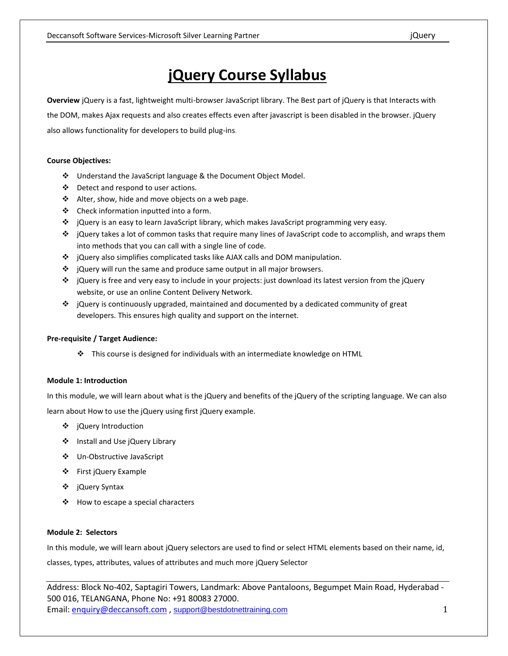# **jQuery Course Syllabus**

**Overview** jQuery is a fast, lightweight multi-browser JavaScript library. The Best part of jQuery is that Interacts with the DOM, makes Ajax requests and also creates effects even after javascript is been disabled in the browser. jQuery also allows functionality for developers to build plug-ins.

## **Course Objectives:**

- Understand the JavaScript language & the Document Object Model.
- Detect and respond to user actions.
- $\triangleleft$  Alter, show, hide and move objects on a web page.
- $\triangleleft$  Check information inputted into a form.
- jQuery is an easy to learn JavaScript library, which makes JavaScript programming very easy.
- $\div$  jQuery takes a lot of common tasks that require many lines of JavaScript code to accomplish, and wraps them into methods that you can call with a single line of code.
- $\div$  jQuery also simplifies complicated tasks like AJAX calls and DOM manipulation.
- ❖ jQuery will run the same and produce same output in all major browsers.
- jQuery is free and very easy to include in your projects: just download its latest version from the jQuery website, or use an online Content Delivery Network.
- ❖ jQuery is continuously upgraded, maintained and documented by a dedicated community of great developers. This ensures high quality and support on the internet.

# **Pre-requisite / Target Audience:**

 $\cdot \cdot$  This course is designed for individuals with an intermediate knowledge on HTML

# **Module 1: Introduction**

In this module, we will learn about what is the jQuery and benefits of the jQuery of the scripting language. We can also learn about How to use the jQuery using first jQuery example.

- ❖ jQuery Introduction
- Install and Use jQuery Library
- Un-Obstructive JavaScript
- ❖ First jQuery Example
- jQuery Syntax
- ❖ How to escape a special characters

## **Module 2: Selectors**

In this module, we will learn about jQuery selectors are used to find or select HTML elements based on their name, id, classes, types, attributes, values of attributes and much more jQuery Selector

Address: Block No-402, Saptagiri Towers, Landmark: Above Pantaloons, Begumpet Main Road, Hyderabad - 500 016, TELANGANA, Phone No: +91 80083 27000. Email: enquiry@deccansoft.com, support@bestdotnettraining.com 1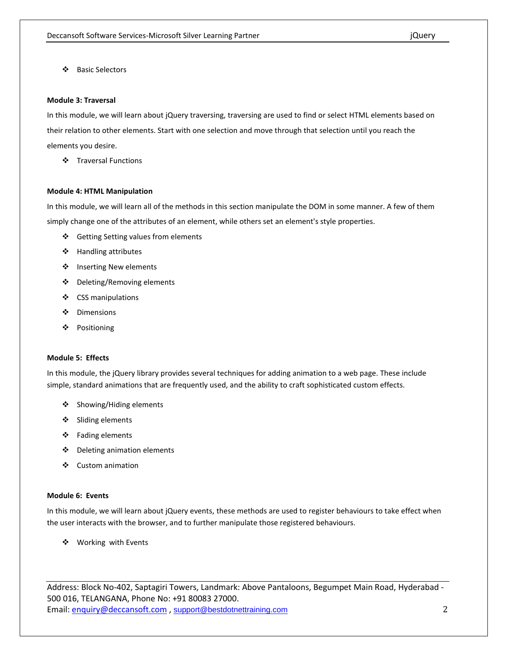Basic Selectors

#### **Module 3: Traversal**

In this module, we will learn about jQuery traversing, traversing are used to find or select HTML elements based on their relation to other elements. Start with one selection and move through that selection until you reach the elements you desire.

❖ Traversal Functions

#### **Module 4: HTML Manipulation**

In this module, we will learn all of the methods in this section manipulate the DOM in some manner. A few of them simply change one of the attributes of an element, while others set an element's style properties.

- ❖ Getting Setting values from elements
- Handling attributes
- ❖ Inserting New elements
- Deleting/Removing elements
- ❖ CSS manipulations
- Dimensions
- Positioning

#### **Module 5: Effects**

In this module, the jQuery library provides several techniques for adding animation to a web page. These include simple, standard animations that are frequently used, and the ability to craft sophisticated custom effects.

- ❖ Showing/Hiding elements
- ❖ Sliding elements
- Fading elements
- Deleting animation elements
- ❖ Custom animation

## **Module 6: Events**

In this module, we will learn about jQuery events, these methods are used to register behaviours to take effect when the user interacts with the browser, and to further manipulate those registered behaviours.

❖ Working with Events

Address: Block No-402, Saptagiri Towers, Landmark: Above Pantaloons, Begumpet Main Road, Hyderabad - 500 016, TELANGANA, Phone No: +91 80083 27000. Email:  $\frac{$ \_1}{2} enquiry@deccansoft.com , support@bestdotnettraining.com 2